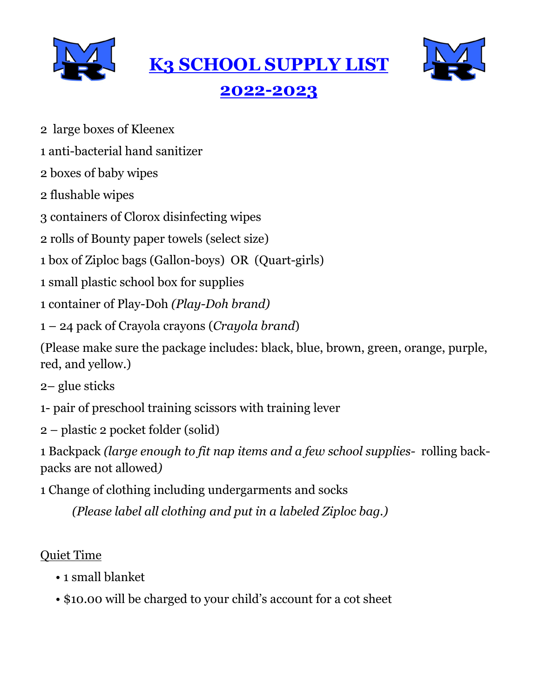

**K3 SCHOOL SUPPLY LIST**



# **2022-2023**

- 2 large boxes of Kleenex
- 1 anti-bacterial hand sanitizer
- 2 boxes of baby wipes
- 2 flushable wipes
- 3 containers of Clorox disinfecting wipes
- 2 rolls of Bounty paper towels (select size)
- 1 box of Ziploc bags (Gallon-boys) OR (Quart-girls)
- 1 small plastic school box for supplies
- 1 container of Play-Doh *(Play-Doh brand)*
- 1 24 pack of Crayola crayons (*Crayola brand*)

(Please make sure the package includes: black, blue, brown, green, orange, purple, red, and yellow.)

- 2– glue sticks
- 1- pair of preschool training scissors with training lever
- 2 plastic 2 pocket folder (solid)

1 Backpack *(large enough to fit nap items and a few school supplies-* rolling backpacks are not allowed*)*

1 Change of clothing including undergarments and socks

*(Please label all clothing and put in a labeled Ziploc bag.)*

#### Quiet Time

- 1 small blanket
- \$10.00 will be charged to your child's account for a cot sheet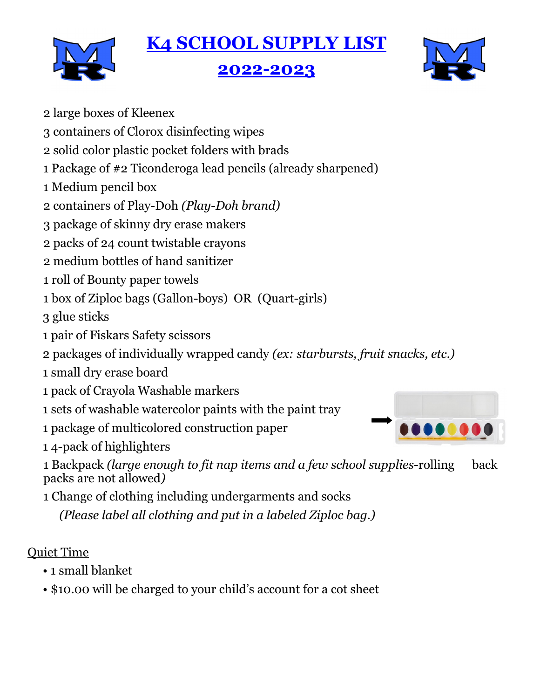# **K4 SCHOOL SUPPLY LIST**



# **2022-2023**



- 2 large boxes of Kleenex
- 3 containers of Clorox disinfecting wipes
- 2 solid color plastic pocket folders with brads
- 1 Package of #2 Ticonderoga lead pencils (already sharpened)
- 1 Medium pencil box
- 2 containers of Play-Doh *(Play-Doh brand)*
- 3 package of skinny dry erase makers
- 2 packs of 24 count twistable crayons
- 2 medium bottles of hand sanitizer
- 1 roll of Bounty paper towels
- 1 box of Ziploc bags (Gallon-boys) OR (Quart-girls)

3 glue sticks

- 1 pair of Fiskars Safety scissors
- 2 packages of individually wrapped candy *(ex: starbursts, fruit snacks, etc.)*
- 1 small dry erase board
- 1 pack of Crayola Washable markers
- 1 sets of washable watercolor paints with the paint tray
- 1 package of multicolored construction paper

1 4-pack of highlighters

1 Backpack *(large enough to fit nap items and a few school supplies-*rolling back packs are not allowed*)*

1 Change of clothing including undergarments and socks

*(Please label all clothing and put in a labeled Ziploc bag.)*

### Quiet Time

- 1 small blanket
- \$10.00 will be charged to your child's account for a cot sheet

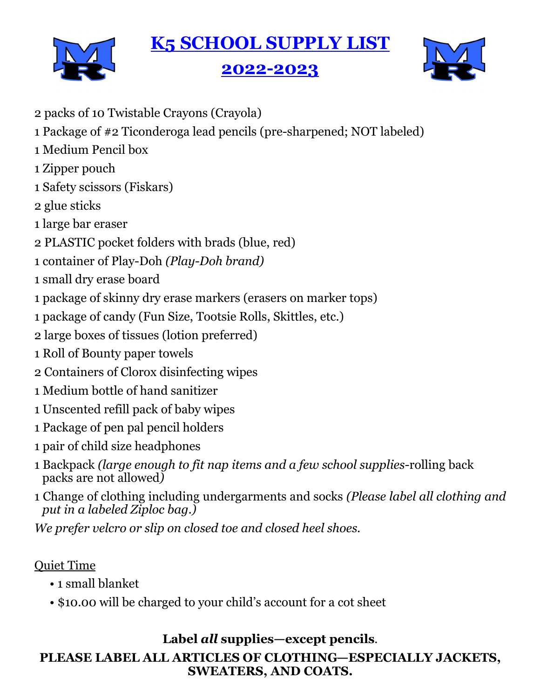# **K5 SCHOOL SUPPLY LIST**



### **2022-2023**



2 packs of 10 Twistable Crayons (Crayola) 1 Package of #2 Ticonderoga lead pencils (pre-sharpened; NOT labeled) 1 Medium Pencil box 1 Zipper pouch 1 Safety scissors (Fiskars) 2 glue sticks 1 large bar eraser 2 PLASTIC pocket folders with brads (blue, red) 1 container of Play-Doh *(Play-Doh brand)* 1 small dry erase board 1 package of skinny dry erase markers (erasers on marker tops) 1 package of candy (Fun Size, Tootsie Rolls, Skittles, etc.) 2 large boxes of tissues (lotion preferred) 1 Roll of Bounty paper towels 2 Containers of Clorox disinfecting wipes 1 Medium bottle of hand sanitizer 1 Unscented refill pack of baby wipes 1 Package of pen pal pencil holders 1 pair of child size headphones 1 Backpack *(large enough to fit nap items and a few school supplies-*rolling back packs are not allowed*)* 1 Change of clothing including undergarments and socks *(Please label all clothing and put in a labeled Ziploc bag.)*

*We prefer velcro or slip on closed toe and closed heel shoes.*

#### Quiet Time

- 1 small blanket
- \$10.00 will be charged to your child's account for a cot sheet

#### **Label** *all* **supplies—except pencils**.

#### **PLEASE LABEL ALL ARTICLES OF CLOTHING—ESPECIALLY JACKETS, SWEATERS, AND COATS.**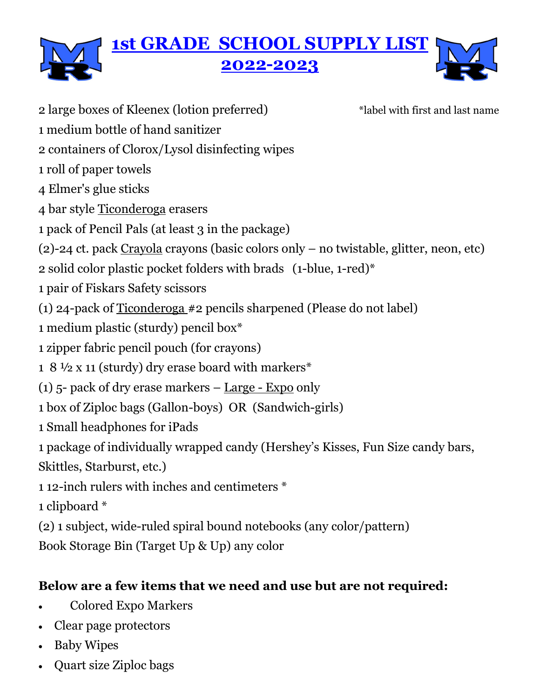

2 large boxes of Kleenex (lotion preferred) \* abel with first and last name

- 1 medium bottle of hand sanitizer
- 2 containers of Clorox/Lysol disinfecting wipes
- 1 roll of paper towels
- 4 Elmer's glue sticks
- 4 bar style Ticonderoga erasers
- 1 pack of Pencil Pals (at least 3 in the package)
- (2)-24 ct. pack Crayola crayons (basic colors only no twistable, glitter, neon, etc)
- 2 solid color plastic pocket folders with brads (1-blue, 1-red)\*
- 1 pair of Fiskars Safety scissors
- (1) 24-pack of Ticonderoga #2 pencils sharpened (Please do not label)
- 1 medium plastic (sturdy) pencil box\*
- 1 zipper fabric pencil pouch (for crayons)
- 1 8 ½ x 11 (sturdy) dry erase board with markers\*
- (1)  $5$  pack of dry erase markers Large Expo only
- 1 box of Ziploc bags (Gallon-boys) OR (Sandwich-girls)
- 1 Small headphones for iPads
- 1 package of individually wrapped candy (Hershey's Kisses, Fun Size candy bars, Skittles, Starburst, etc.)
- 1 12-inch rulers with inches and centimeters \*
- 1 clipboard \*
- (2) 1 subject, wide-ruled spiral bound notebooks (any color/pattern)
- Book Storage Bin (Target Up & Up) any color

#### **Below are a few items that we need and use but are not required:**

- Colored Expo Markers
- Clear page protectors
- Baby Wipes
- Quart size Ziploc bags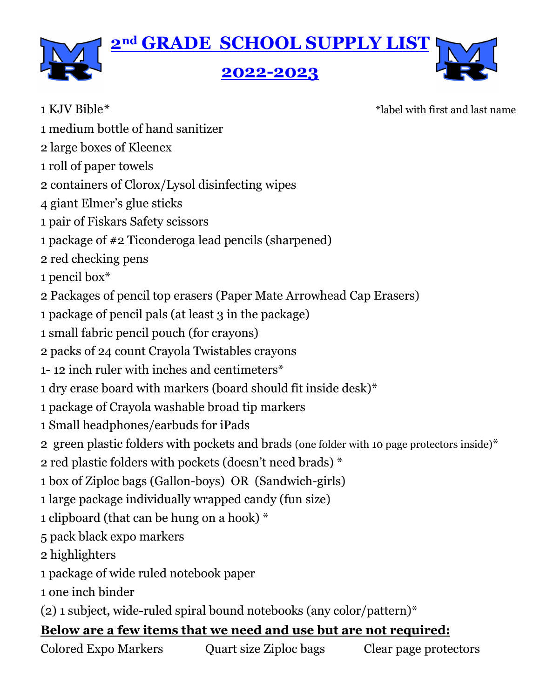

1 KJV Bible<sup>\*</sup>  $\ddot{\text{Table}}$  \*label with first and last name

- 1 medium bottle of hand sanitizer
- 2 large boxes of Kleenex
- 1 roll of paper towels
- 2 containers of Clorox/Lysol disinfecting wipes
- 4 giant Elmer's glue sticks
- 1 pair of Fiskars Safety scissors
- 1 package of #2 Ticonderoga lead pencils (sharpened)
- 2 red checking pens
- 1 pencil box\*
- 2 Packages of pencil top erasers (Paper Mate Arrowhead Cap Erasers)
- 1 package of pencil pals (at least 3 in the package)
- 1 small fabric pencil pouch (for crayons)
- 2 packs of 24 count Crayola Twistables crayons
- 1- 12 inch ruler with inches and centimeters\*
- 1 dry erase board with markers (board should fit inside desk)\*
- 1 package of Crayola washable broad tip markers
- 1 Small headphones/earbuds for iPads
- 2 green plastic folders with pockets and brads (one folder with 10 page protectors inside)\*
- 2 red plastic folders with pockets (doesn't need brads) \*
- 1 box of Ziploc bags (Gallon-boys) OR (Sandwich-girls)
- 1 large package individually wrapped candy (fun size)
- 1 clipboard (that can be hung on a hook) \*
- 5 pack black expo markers
- 2 highlighters
- 1 package of wide ruled notebook paper
- 1 one inch binder
- (2) 1 subject, wide-ruled spiral bound notebooks (any color/pattern)\*

#### **Below are a few items that we need and use but are not required:**

Colored Expo Markers Quart size Ziploc bags Clear page protectors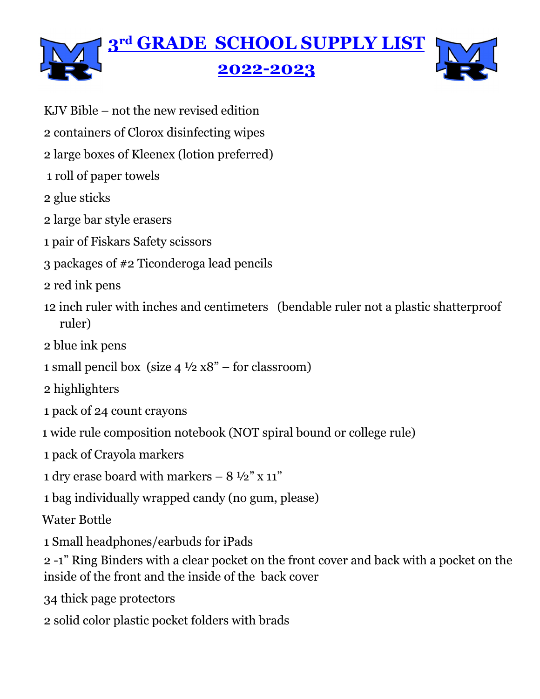

- KJV Bible not the new revised edition
- 2 containers of Clorox disinfecting wipes
- 2 large boxes of Kleenex (lotion preferred)
- 1 roll of paper towels
- 2 glue sticks
- 2 large bar style erasers
- 1 pair of Fiskars Safety scissors
- 3 packages of #2 Ticonderoga lead pencils
- 2 red ink pens
- 12 inch ruler with inches and centimeters (bendable ruler not a plastic shatterproof ruler)
- 2 blue ink pens
- 1 small pencil box (size  $4\frac{1}{2}$  x8" for classroom)
- 2 highlighters
- 1 pack of 24 count crayons
- 1 wide rule composition notebook (NOT spiral bound or college rule)
- 1 pack of Crayola markers
- 1 dry erase board with markers  $-8\frac{1}{2}$ " x 11"
- 1 bag individually wrapped candy (no gum, please)

Water Bottle

- 1 Small headphones/earbuds for iPads
- 2 -1" Ring Binders with a clear pocket on the front cover and back with a pocket on the inside of the front and the inside of the back cover
- 34 thick page protectors
- 2 solid color plastic pocket folders with brads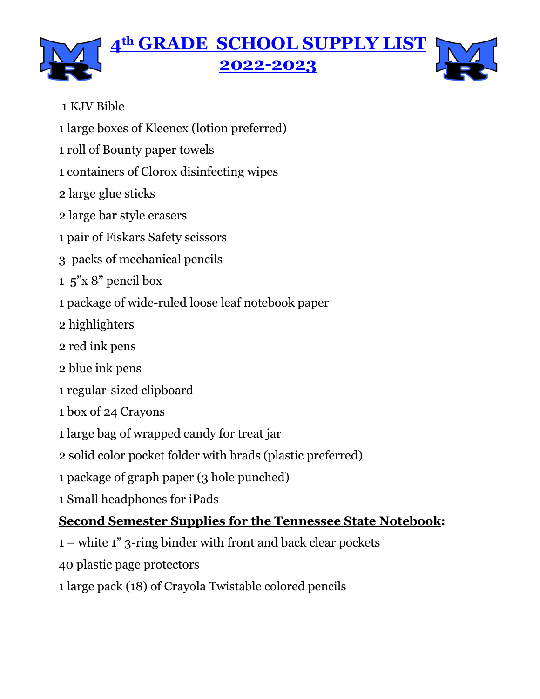# **4th GRADE SCHOOL SUPPLY LIST 2022-2023**

#### 1 KJV Bible

- 1 large boxes of Kleenex (lotion preferred)
- 1 roll of Bounty paper towels
- 1 containers of Clorox disinfecting wipes
- 2 large glue sticks
- 2 large bar style erasers
- 1 pair of Fiskars Safety scissors
- 3 packs of mechanical pencils
- 1 5"x 8" pencil box
- 1 package of wide-ruled loose leaf notebook paper
- 2 highlighters
- 2 red ink pens
- 2 blue ink pens
- 1 regular-sized clipboard
- 1 box of 24 Crayons
- 1 large bag of wrapped candy for treat jar
- 2 solid color pocket folder with brads (plastic preferred)
- 1 package of graph paper (3 hole punched)
- 1 Small headphones for iPads

# **Second Semester Supplies for the Tennessee State Notebook:**

- 1 white 1" 3-ring binder with front and back clear pockets
- 40 plastic page protectors
- 1 large pack (18) of Crayola Twistable colored pencils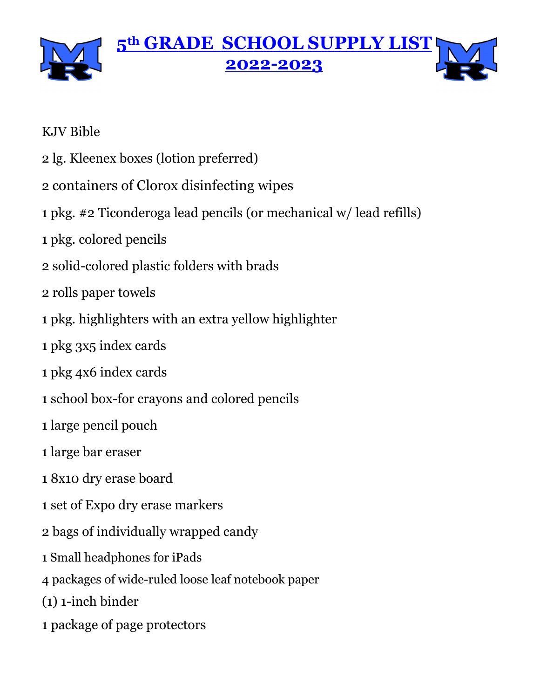

#### KJV Bible

- 2 lg. Kleenex boxes (lotion preferred)
- 2 containers of Clorox disinfecting wipes
- 1 pkg. #2 Ticonderoga lead pencils (or mechanical w/ lead refills)
- 1 pkg. colored pencils
- 2 solid-colored plastic folders with brads
- 2 rolls paper towels
- 1 pkg. highlighters with an extra yellow highlighter
- 1 pkg 3x5 index cards
- 1 pkg 4x6 index cards
- 1 school box-for crayons and colored pencils
- 1 large pencil pouch
- 1 large bar eraser
- 1 8x10 dry erase board
- 1 set of Expo dry erase markers
- 2 bags of individually wrapped candy
- 1 Small headphones for iPads
- 4 packages of wide-ruled loose leaf notebook paper
- (1) 1-inch binder
- 1 package of page protectors